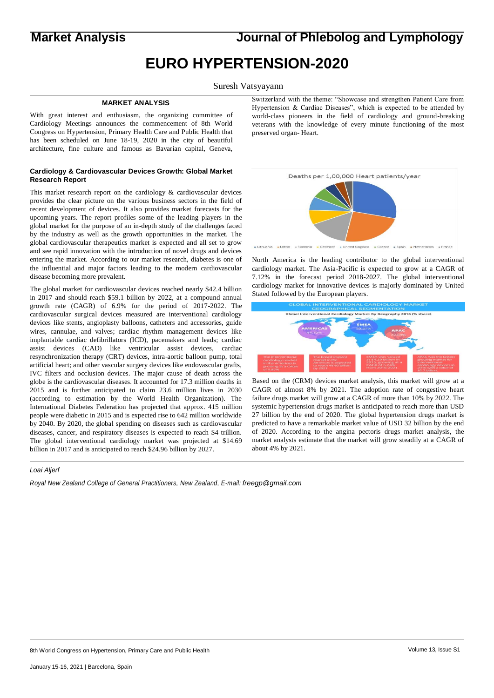**Market Analysis Journal of Phlebolog and Lymphology**

# **EURO HYPERTENSION-2020**

Suresh Vatsyayann

#### **MARKET ANALYSIS**

With great interest and enthusiasm, the organizing committee of Cardiology Meetings announces the commencement of 8th World Congress on Hypertension, Primary Health Care and Public Health that has been scheduled on June 18-19, 2020 in the city of beautiful architecture, fine culture and famous as Bavarian capital, Geneva,

### **Cardiology & Cardiovascular Devices Growth: Global Market Research Report**

This market research report on the cardiology & cardiovascular devices provides the clear picture on the various business sectors in the field of recent development of devices. It also provides market forecasts for the upcoming years. The report profiles some of the leading players in the global market for the purpose of an in-depth study of the challenges faced by the industry as well as the growth opportunities in the market. The global cardiovascular therapeutics market is expected and all set to grow and see rapid innovation with the introduction of novel drugs and devices entering the market. According to our market research, diabetes is one of the influential and major factors leading to the modern cardiovascular disease becoming more prevalent.

The global market for cardiovascular devices reached nearly \$42.4 billion in 2017 and should reach \$59.1 billion by 2022, at a compound annual growth rate (CAGR) of 6.9% for the period of 2017-2022. The cardiovascular surgical devices measured are interventional cardiology devices like stents, angioplasty balloons, catheters and accessories, guide wires, cannulae, and valves; cardiac rhythm management devices like implantable cardiac defibrillators (ICD), pacemakers and leads; cardiac assist devices (CAD) like ventricular assist devices, cardiac resynchronization therapy (CRT) devices, intra-aortic balloon pump, total artificial heart; and other vascular surgery devices like endovascular grafts, IVC filters and occlusion devices. The major cause of death across the globe is the cardiovascular diseases. It accounted for 17.3 million deaths in 2015 and is further anticipated to claim 23.6 million lives in 2030 (according to estimation by the World Health Organization). The International Diabetes Federation has projected that approx. 415 million people were diabetic in 2015 and is expected rise to 642 million worldwide by 2040. By 2020, the global spending on diseases such as cardiovascular diseases, cancer, and respiratory diseases is expected to reach \$4 trillion. The global interventional cardiology market was projected at \$14.69 billion in 2017 and is anticipated to reach \$24.96 billion by 2027.

### *Loai Aljerf*

*Royal New Zealand College of General Practitioners, New Zealand, E-mail: freegp@gmail.com*

Switzerland with the theme: "Showcase and strengthen Patient Care from Hypertension & Cardiac Diseases", which is expected to be attended by world-class pioneers in the field of cardiology and ground-breaking veterans with the knowledge of every minute functioning of the most preserved organ- Heart.



North America is the leading contributor to the global interventional cardiology market. The Asia-Pacific is expected to grow at a CAGR of 7.12% in the forecast period 2018-2027. The global interventional cardiology market for innovative devices is majorly dominated by United Stated followed by the European players.



Based on the (CRM) devices market analysis, this market will grow at a CAGR of almost 8% by 2021. The adoption rate of congestive heart failure drugs market will grow at a CAGR of more than 10% by 2022. The systemic hypertension drugs market is anticipated to reach more than USD 27 billion by the end of 2020. The global hypertension drugs market is predicted to have a remarkable market value of USD 32 billion by the end of 2020. According to the angina pectoris drugs market analysis, the market analysts estimate that the market will grow steadily at a CAGR of about 4% by 2021.